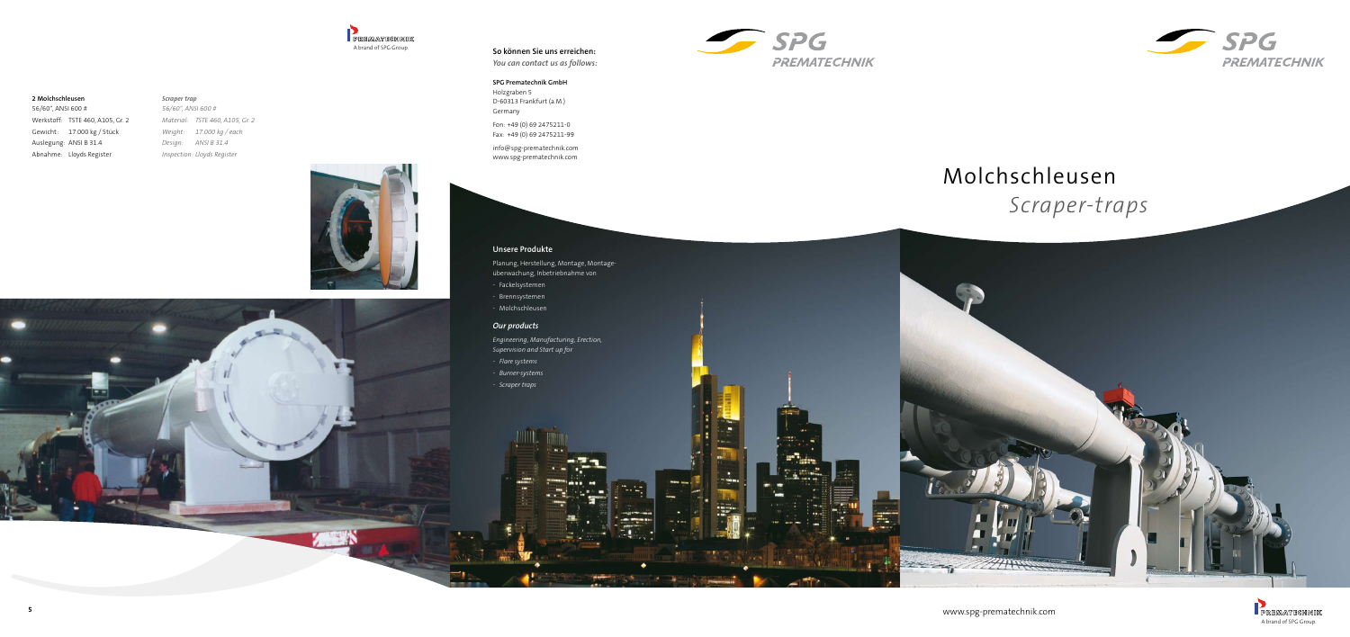







# Molchschleusen *Scraper-traps*

www.spg-prematechnik.com



# **So können Sie uns erreichen:**

*You can contact us as follows:*

# **SPG Prematechnik GmbH**

Holzgraben 5 D-60313 Frankfurt (a.M.) Germany

Fon: +49 (0) 69 2475211-0 Fax: +49 (0) 69 2475211-99

info@spg-prematechnik.com www.spg-prematechnik.com

# **Unsere Produkte**

Planung, Herstellung, Montage, Montageüberwachung, Inbetriebnahme von

- Fackelsystemen
- Brennsystemen
- Molchschleusen

# *Our products*

*Engineering, Manufacturing, Erection, Supervision and Start up for*

- *- Flare systems*
- *- Burner-systems*
- *- Scraper traps*

#### **2 Molchschleusen**

56/60", ANSI 600 # Werkstoff: TSTE 460, A105, Gr. 2 Gewicht: 17.000 kg / Stück Auslegung: ANSI B 31.4 Abnahme: Lloyds Register

# *Scraper trap 56/60", ANSI 600 # Material: TSTE 460, A105, Gr. 2 Weight: 17.000 kg / each Design: ANSI B 31.4 Inspection: Lloyds Register*